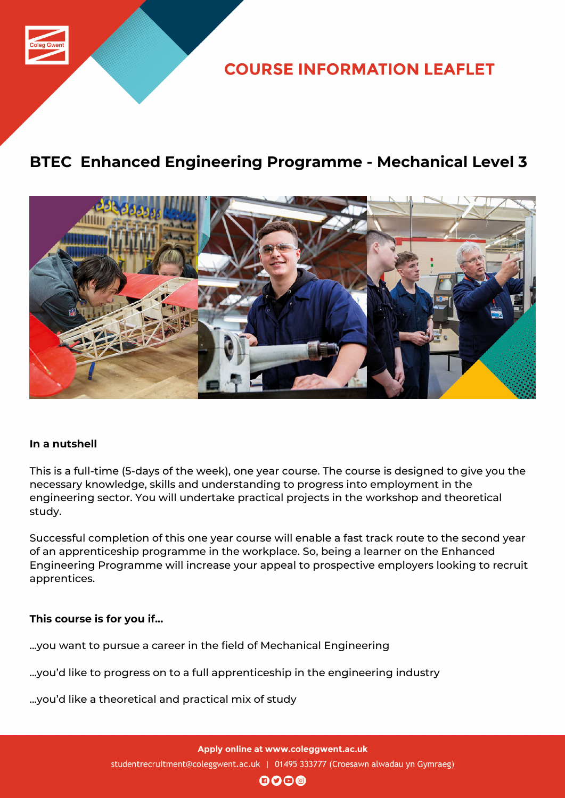

# **COURSE INFORMATION LEAFLET**

# **BTEC Enhanced Engineering Programme - Mechanical Level 3**



### **In a nutshell**

This is a full-time (5-days of the week), one year course. The course is designed to give you the necessary knowledge, skills and understanding to progress into employment in the engineering sector. You will undertake practical projects in the workshop and theoretical study.

Successful completion of this one year course will enable a fast track route to the second year of an apprenticeship programme in the workplace. So, being a learner on the Enhanced Engineering Programme will increase your appeal to prospective employers looking to recruit apprentices.

### **This course is for you if...**

...you want to pursue a career in the field of Mechanical Engineering

...you'd like to progress on to a full apprenticeship in the engineering industry

...you'd like a theoretical and practical mix of study

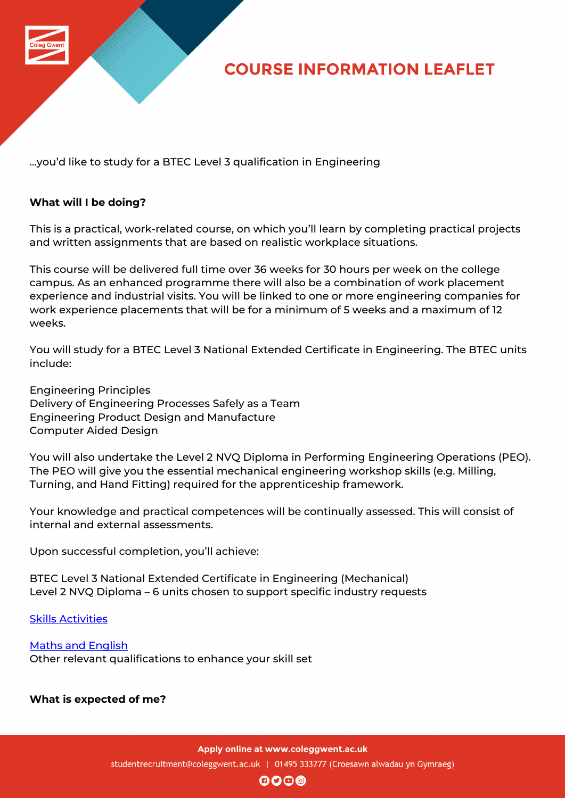

### **COURSE INFORMATION LEAFLET**

...you'd like to study for a BTEC Level 3 qualification in Engineering

### **What will I be doing?**

This is a practical, work-related course, on which you'll learn by completing practical projects and written assignments that are based on realistic workplace situations.

This course will be delivered full time over 36 weeks for 30 hours per week on the college campus. As an enhanced programme there will also be a combination of work placement experience and industrial visits. You will be linked to one or more engineering companies for work experience placements that will be for a minimum of 5 weeks and a maximum of 12 weeks.

You will study for a BTEC Level 3 National Extended Certificate in Engineering. The BTEC units include:

Engineering Principles Delivery of Engineering Processes Safely as a Team Engineering Product Design and Manufacture Computer Aided Design

You will also undertake the Level 2 NVQ Diploma in Performing Engineering Operations (PEO). The PEO will give you the essential mechanical engineering workshop skills (e.g. Milling, Turning, and Hand Fitting) required for the apprenticeship framework.

Your knowledge and practical competences will be continually assessed. This will consist of internal and external assessments.

Upon successful completion, you'll achieve:

BTEC Level 3 National Extended Certificate in Engineering (Mechanical) Level 2 NVQ Diploma – 6 units chosen to support specific industry requests

Skills Activities

Maths and English [Other relevant](http://www.coleggwent.ac.uk/index.php?option=com_content&view=article&id=117#.WT_IG8s5WUk) qualifications to enhance your skill set

**[What is expected](http://www.coleggwent.ac.uk/index.php?option=com_content&view=article&id=2314) of me?**

Apply online at www.coleggwent.ac.uk

studentrecruitment@coleggwent.ac.uk | 01495 333777 (Croesawn alwadau yn Gymraeg)